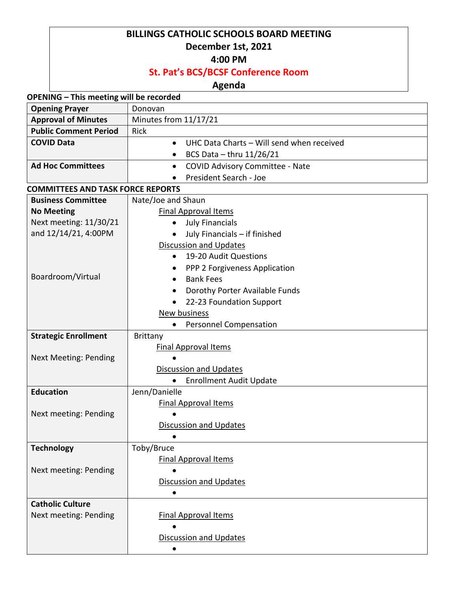## **BILLINGS CATHOLIC SCHOOLS BOARD MEETING December 1st, 2021**

## **4:00 PM**

# **St. Pat's BCS/BCSF Conference Room**

# **Agenda**

### **OPENING – This meeting will be recorded**

| <b>Opening Prayer</b>                    | Donovan                                                |  |
|------------------------------------------|--------------------------------------------------------|--|
| <b>Approval of Minutes</b>               | Minutes from 11/17/21                                  |  |
| <b>Public Comment Period</b>             | Rick                                                   |  |
| <b>COVID Data</b>                        | UHC Data Charts - Will send when received<br>$\bullet$ |  |
|                                          | BCS Data $-$ thru 11/26/21                             |  |
| <b>Ad Hoc Committees</b>                 | <b>COVID Advisory Committee - Nate</b><br>$\bullet$    |  |
|                                          | President Search - Joe                                 |  |
| <b>COMMITTEES AND TASK FORCE REPORTS</b> |                                                        |  |
| <b>Business Committee</b>                | Nate/Joe and Shaun                                     |  |
| <b>No Meeting</b>                        | <b>Final Approval Items</b>                            |  |
| Next meeting: 11/30/21                   | <b>July Financials</b><br>$\bullet$                    |  |
| and 12/14/21, 4:00PM                     | July Financials - if finished                          |  |
|                                          | <b>Discussion and Updates</b>                          |  |
|                                          | 19-20 Audit Questions<br>$\bullet$                     |  |
|                                          | PPP 2 Forgiveness Application<br>$\bullet$             |  |
| Boardroom/Virtual                        | <b>Bank Fees</b><br>$\bullet$                          |  |
|                                          | Dorothy Porter Available Funds<br>$\bullet$            |  |
|                                          | 22-23 Foundation Support                               |  |
|                                          | New business                                           |  |
|                                          | Personnel Compensation<br>$\bullet$                    |  |
| <b>Strategic Enrollment</b>              | Brittany                                               |  |
|                                          | <b>Final Approval Items</b>                            |  |
| <b>Next Meeting: Pending</b>             |                                                        |  |
|                                          | <b>Discussion and Updates</b>                          |  |
|                                          | <b>Enrollment Audit Update</b><br>$\bullet$            |  |
| <b>Education</b>                         | Jenn/Danielle                                          |  |
|                                          | <b>Final Approval Items</b>                            |  |
| Next meeting: Pending                    |                                                        |  |
|                                          | <b>Discussion and Updates</b>                          |  |
|                                          |                                                        |  |
| <b>Technology</b>                        | Toby/Bruce                                             |  |
| Next meeting: Pending                    | <b>Final Approval Items</b>                            |  |
|                                          | <b>Discussion and Updates</b>                          |  |
|                                          |                                                        |  |
| <b>Catholic Culture</b>                  |                                                        |  |
| Next meeting: Pending                    | <b>Final Approval Items</b>                            |  |
|                                          |                                                        |  |
|                                          | <b>Discussion and Updates</b>                          |  |
|                                          |                                                        |  |